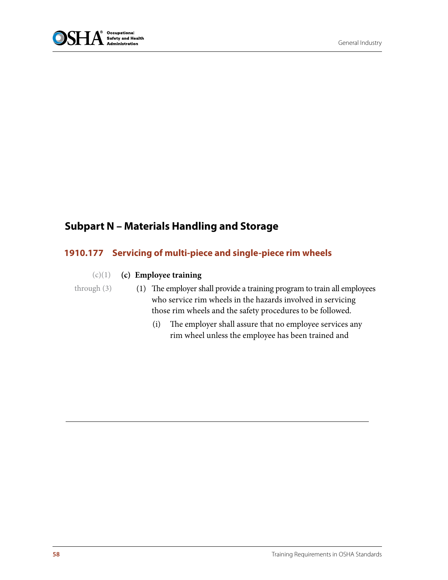

## **Subpart N – Materials Handling and Storage**

## **1910.177 Servicing of multi-piece and single-piece rim wheels**

## **(c) Employee training**  $(c)(1)$

## through (3)

- (1) The employer shall provide a training program to train all employees who service rim wheels in the hazards involved in servicing those rim wheels and the safety procedures to be followed.
	- (i) The employer shall assure that no employee services any rim wheel unless the employee has been trained and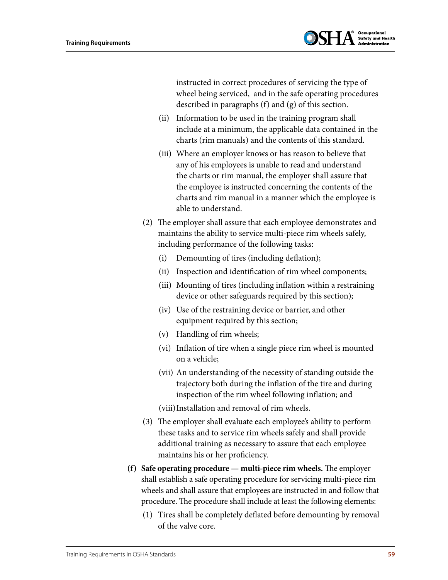

instructed in correct procedures of servicing the type of wheel being serviced, and in the safe operating procedures described in paragraphs (f) and (g) of this section.

- (ii) Information to be used in the training program shall include at a minimum, the applicable data contained in the charts (rim manuals) and the contents of this standard.
- (iii) Where an employer knows or has reason to believe that any of his employees is unable to read and understand the charts or rim manual, the employer shall assure that the employee is instructed concerning the contents of the charts and rim manual in a manner which the employee is able to understand.
- (2) The employer shall assure that each employee demonstrates and maintains the ability to service multi-piece rim wheels safely, including performance of the following tasks:
	- (i) Demounting of tires (including deflation);
	- (ii) Inspection and identification of rim wheel components;
	- (iii) Mounting of tires (including inflation within a restraining device or other safeguards required by this section);
	- (iv) Use of the restraining device or barrier, and other equipment required by this section;
	- (v) Handling of rim wheels;
	- (vi) Inflation of tire when a single piece rim wheel is mounted on a vehicle;
	- (vii) An understanding of the necessity of standing outside the trajectory both during the inflation of the tire and during inspection of the rim wheel following inflation; and
	- (viii)Installation and removal of rim wheels.
- (3) The employer shall evaluate each employee's ability to perform these tasks and to service rim wheels safely and shall provide additional training as necessary to assure that each employee maintains his or her proficiency.
- **(f) Safe operating procedure multi-piece rim wheels.** The employer shall establish a safe operating procedure for servicing multi-piece rim wheels and shall assure that employees are instructed in and follow that procedure. The procedure shall include at least the following elements:
	- (1) Tires shall be completely deflated before demounting by removal of the valve core.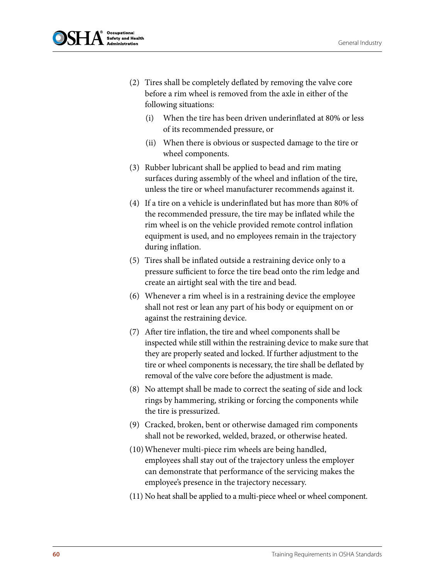

- (2) Tires shall be completely deflated by removing the valve core before a rim wheel is removed from the axle in either of the following situations:
	- (i) When the tire has been driven underinflated at 80% or less of its recommended pressure, or
	- (ii) When there is obvious or suspected damage to the tire or wheel components.
- (3) Rubber lubricant shall be applied to bead and rim mating surfaces during assembly of the wheel and inflation of the tire, unless the tire or wheel manufacturer recommends against it.
- (4) If a tire on a vehicle is underinflated but has more than 80% of the recommended pressure, the tire may be inflated while the rim wheel is on the vehicle provided remote control inflation equipment is used, and no employees remain in the trajectory during inflation.
- (5) Tires shall be inflated outside a restraining device only to a pressure sufficient to force the tire bead onto the rim ledge and create an airtight seal with the tire and bead.
- (6) Whenever a rim wheel is in a restraining device the employee shall not rest or lean any part of his body or equipment on or against the restraining device.
- (7) After tire inflation, the tire and wheel components shall be inspected while still within the restraining device to make sure that they are properly seated and locked. If further adjustment to the tire or wheel components is necessary, the tire shall be deflated by removal of the valve core before the adjustment is made.
- (8) No attempt shall be made to correct the seating of side and lock rings by hammering, striking or forcing the components while the tire is pressurized.
- (9) Cracked, broken, bent or otherwise damaged rim components shall not be reworked, welded, brazed, or otherwise heated.
- (10)Whenever multi-piece rim wheels are being handled, employees shall stay out of the trajectory unless the employer can demonstrate that performance of the servicing makes the employee's presence in the trajectory necessary.
- (11) No heat shall be applied to a multi-piece wheel or wheel component.